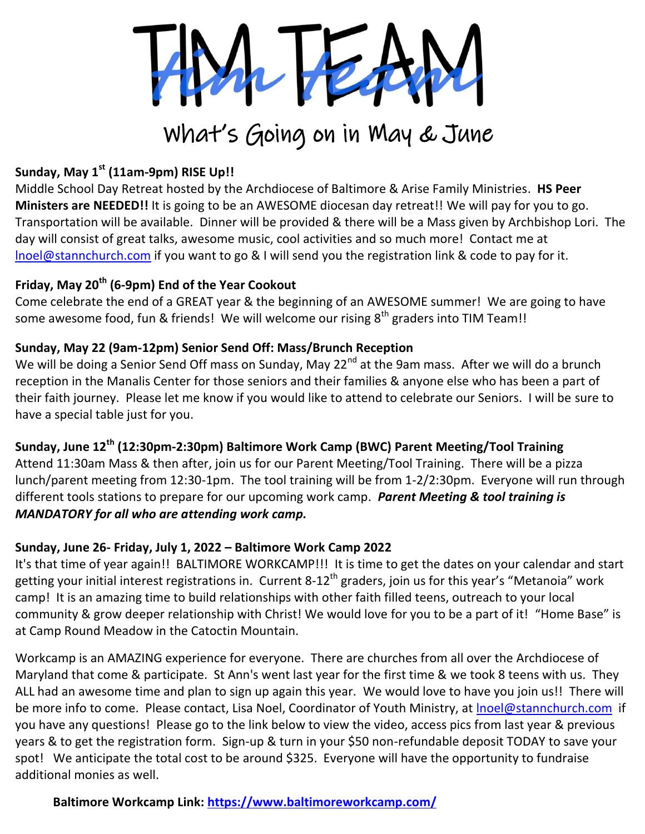

# What's Going on in May & June

## **Sunday, May 1st (11am-9pm) RISE Up!!**

Middle School Day Retreat hosted by the Archdiocese of Baltimore & Arise Family Ministries. **HS Peer Ministers are NEEDED!!** It is going to be an AWESOME diocesan day retreat!! We will pay for you to go. Transportation will be available. Dinner will be provided & there will be a Mass given by Archbishop Lori. The day will consist of great talks, awesome music, cool activities and so much more! Contact me at [lnoel@stannchurch.com](mailto:lnoel@stannchurch.com) if you want to go & I will send you the registration link & code to pay for it.

### **Friday, May 20th (6-9pm) End of the Year Cookout**

Come celebrate the end of a GREAT year & the beginning of an AWESOME summer! We are going to have some awesome food, fun & friends! We will welcome our rising  $8<sup>th</sup>$  graders into TIM Team!!

#### **Sunday, May 22 (9am-12pm) Senior Send Off: Mass/Brunch Reception**

We will be doing a Senior Send Off mass on Sunday, May 22<sup>nd</sup> at the 9am mass. After we will do a brunch reception in the Manalis Center for those seniors and their families & anyone else who has been a part of their faith journey. Please let me know if you would like to attend to celebrate our Seniors. I will be sure to have a special table just for you.

### **Sunday, June 12th (12:30pm-2:30pm) Baltimore Work Camp (BWC) Parent Meeting/Tool Training**

Attend 11:30am Mass & then after, join us for our Parent Meeting/Tool Training. There will be a pizza lunch/parent meeting from 12:30-1pm. The tool training will be from 1-2/2:30pm. Everyone will run through different tools stations to prepare for our upcoming work camp. *Parent Meeting & tool training is MANDATORY for all who are attending work camp.*

#### **Sunday, June 26- Friday, July 1, 2022 – Baltimore Work Camp 2022**

It's that time of year again!! BALTIMORE WORKCAMP!!! It is time to get the dates on your calendar and start getting your initial interest registrations in. Current 8-12<sup>th</sup> graders, join us for this year's "Metanoia" work camp! It is an amazing time to build relationships with other faith filled teens, outreach to your local community & grow deeper relationship with Christ! We would love for you to be a part of it! "Home Base" is at Camp Round Meadow in the Catoctin Mountain.

Workcamp is an AMAZING experience for everyone. There are churches from all over the Archdiocese of Maryland that come & participate. St Ann's went last year for the first time & we took 8 teens with us. They ALL had an awesome time and plan to sign up again this year. We would love to have you join us!! There will be more info to come. Please contact, Lisa Noel, Coordinator of Youth Ministry, at Inoel@stannchurch.com if you have any questions! Please go to the link below to view the video, access pics from last year & previous years & to get the registration form. Sign-up & turn in your \$50 non-refundable deposit TODAY to save your spot! We anticipate the total cost to be around \$325. Everyone will have the opportunity to fundraise additional monies as well.

**Baltimore Workcamp Link: <https://www.baltimoreworkcamp.com/>**